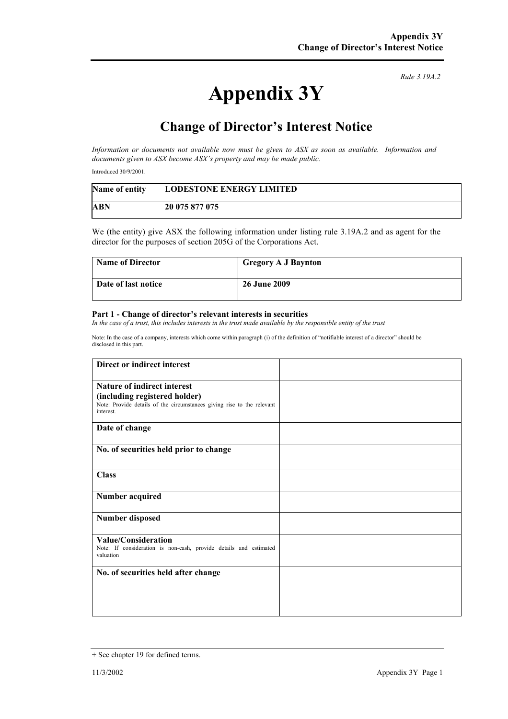## **Appendix 3Y**

*Rule 3.19A.2*

## **Change of Director's Interest Notice**

*Information or documents not available now must be given to ASX as soon as available. Information and documents given to ASX become ASX's property and may be made public.* 

Introduced 30/9/2001.

| Name of entity | <b>LODESTONE ENERGY LIMITED</b> |
|----------------|---------------------------------|
| <b>ABN</b>     | 20 075 877 075                  |

We (the entity) give ASX the following information under listing rule 3.19A.2 and as agent for the director for the purposes of section 205G of the Corporations Act.

| Name of Director    | <b>Gregory A J Baynton</b> |
|---------------------|----------------------------|
| Date of last notice | <b>26 June 2009</b>        |

## **Part 1 - Change of director's relevant interests in securities**

In the case of a trust, this includes interests in the trust made available by the responsible entity of the trust

Note: In the case of a company, interests which come within paragraph (i) of the definition of "notifiable interest of a director" should be disclosed in this part.

| Direct or indirect interest                                                                                          |  |
|----------------------------------------------------------------------------------------------------------------------|--|
| <b>Nature of indirect interest</b>                                                                                   |  |
| (including registered holder)<br>Note: Provide details of the circumstances giving rise to the relevant<br>interest. |  |
| Date of change                                                                                                       |  |
| No. of securities held prior to change                                                                               |  |
| <b>Class</b>                                                                                                         |  |
| <b>Number acquired</b>                                                                                               |  |
| <b>Number disposed</b>                                                                                               |  |
| <b>Value/Consideration</b><br>Note: If consideration is non-cash, provide details and estimated<br>valuation         |  |
| No. of securities held after change                                                                                  |  |
|                                                                                                                      |  |
|                                                                                                                      |  |

<sup>+</sup> See chapter 19 for defined terms.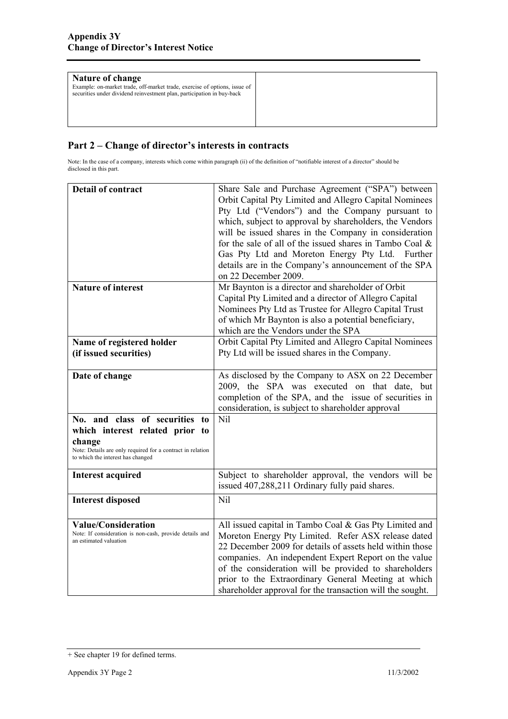| <b>Nature of change</b><br>Example: on-market trade, off-market trade, exercise of options, issue of<br>securities under dividend reinvestment plan, participation in buy-back |  |
|--------------------------------------------------------------------------------------------------------------------------------------------------------------------------------|--|
|                                                                                                                                                                                |  |

## **Part 2 – Change of director's interests in contracts**

Note: In the case of a company, interests which come within paragraph (ii) of the definition of "notifiable interest of a director" should be disclosed in this part.

| <b>Detail of contract</b>                                                                                                                                                      | Share Sale and Purchase Agreement ("SPA") between<br>Orbit Capital Pty Limited and Allegro Capital Nominees<br>Pty Ltd ("Vendors") and the Company pursuant to<br>which, subject to approval by shareholders, the Vendors<br>will be issued shares in the Company in consideration<br>for the sale of all of the issued shares in Tambo Coal &<br>Gas Pty Ltd and Moreton Energy Pty Ltd. Further<br>details are in the Company's announcement of the SPA<br>on 22 December 2009. |
|--------------------------------------------------------------------------------------------------------------------------------------------------------------------------------|-----------------------------------------------------------------------------------------------------------------------------------------------------------------------------------------------------------------------------------------------------------------------------------------------------------------------------------------------------------------------------------------------------------------------------------------------------------------------------------|
| <b>Nature of interest</b>                                                                                                                                                      | Mr Baynton is a director and shareholder of Orbit<br>Capital Pty Limited and a director of Allegro Capital<br>Nominees Pty Ltd as Trustee for Allegro Capital Trust<br>of which Mr Baynton is also a potential beneficiary,<br>which are the Vendors under the SPA                                                                                                                                                                                                                |
| Name of registered holder<br>(if issued securities)                                                                                                                            | Orbit Capital Pty Limited and Allegro Capital Nominees<br>Pty Ltd will be issued shares in the Company.                                                                                                                                                                                                                                                                                                                                                                           |
| Date of change                                                                                                                                                                 | As disclosed by the Company to ASX on 22 December<br>2009, the SPA was executed on that date, but<br>completion of the SPA, and the issue of securities in<br>consideration, is subject to shareholder approval                                                                                                                                                                                                                                                                   |
| No. and class of securities to<br>which interest related prior to<br>change<br>Note: Details are only required for a contract in relation<br>to which the interest has changed | Nil                                                                                                                                                                                                                                                                                                                                                                                                                                                                               |
| <b>Interest acquired</b>                                                                                                                                                       | Subject to shareholder approval, the vendors will be<br>issued 407,288,211 Ordinary fully paid shares.                                                                                                                                                                                                                                                                                                                                                                            |
| <b>Interest disposed</b>                                                                                                                                                       | Nil                                                                                                                                                                                                                                                                                                                                                                                                                                                                               |
| <b>Value/Consideration</b><br>Note: If consideration is non-cash, provide details and<br>an estimated valuation                                                                | All issued capital in Tambo Coal & Gas Pty Limited and<br>Moreton Energy Pty Limited. Refer ASX release dated<br>22 December 2009 for details of assets held within those<br>companies. An independent Expert Report on the value<br>of the consideration will be provided to shareholders<br>prior to the Extraordinary General Meeting at which<br>shareholder approval for the transaction will the sought.                                                                    |

<sup>+</sup> See chapter 19 for defined terms.